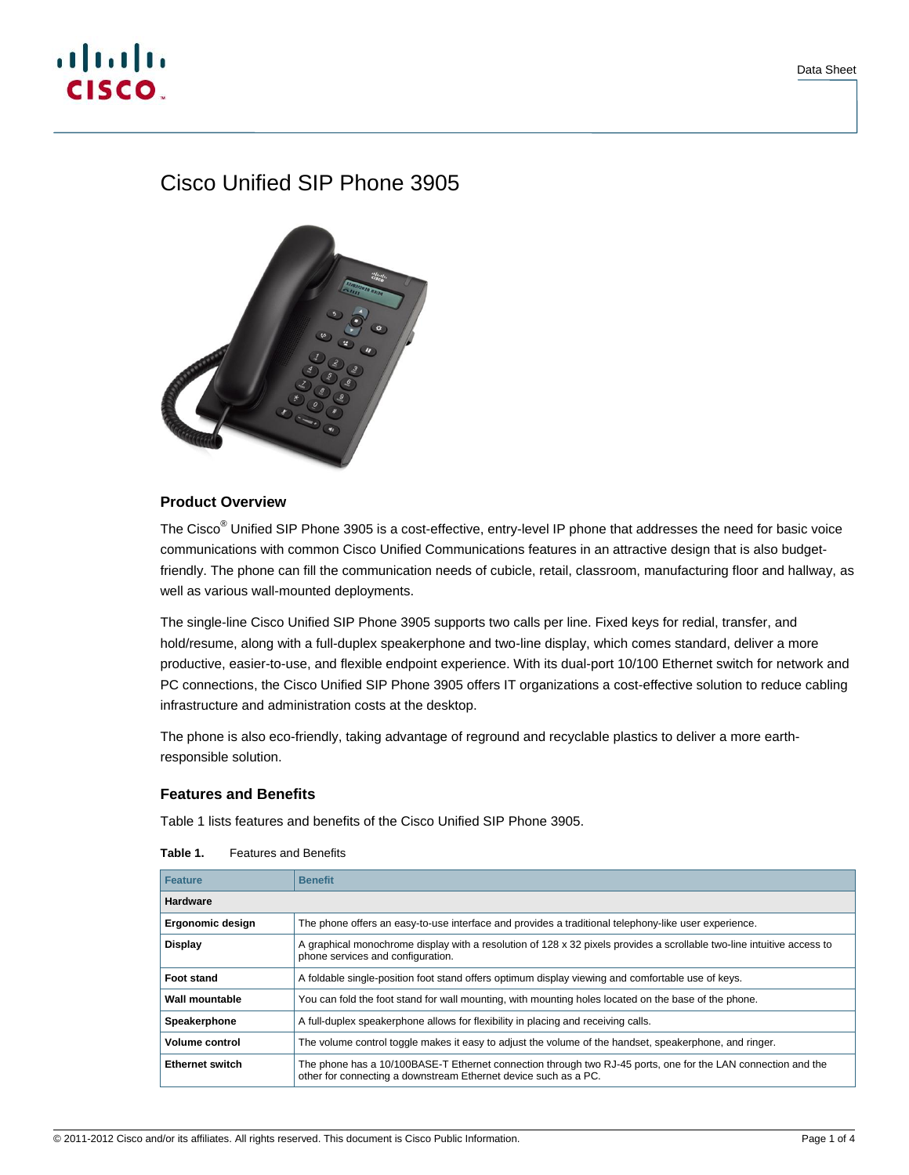# $\mathbf{d}$  and  $\mathbf{d}$ CISCO.

# Cisco Unified SIP Phone 3905



# **Product Overview**

The Cisco® Unified SIP Phone 3905 is a cost-effective, entry-level IP phone that addresses the need for basic voice communications with common Cisco Unified Communications features in an attractive design that is also budgetfriendly. The phone can fill the communication needs of cubicle, retail, classroom, manufacturing floor and hallway, as well as various wall-mounted deployments.

The single-line Cisco Unified SIP Phone 3905 supports two calls per line. Fixed keys for redial, transfer, and hold/resume, along with a full-duplex speakerphone and two-line display, which comes standard, deliver a more productive, easier-to-use, and flexible endpoint experience. With its dual-port 10/100 Ethernet switch for network and PC connections, the Cisco Unified SIP Phone 3905 offers IT organizations a cost-effective solution to reduce cabling infrastructure and administration costs at the desktop.

The phone is also eco-friendly, taking advantage of reground and recyclable plastics to deliver a more earthresponsible solution.

# **Features and Benefits**

Table 1 lists features and benefits of the Cisco Unified SIP Phone 3905.

| <b>Feature</b>         | <b>Benefit</b>                                                                                                                                                                  |  |
|------------------------|---------------------------------------------------------------------------------------------------------------------------------------------------------------------------------|--|
| <b>Hardware</b>        |                                                                                                                                                                                 |  |
| Ergonomic design       | The phone offers an easy-to-use interface and provides a traditional telephony-like user experience.                                                                            |  |
| <b>Display</b>         | A graphical monochrome display with a resolution of 128 x 32 pixels provides a scrollable two-line intuitive access to<br>phone services and configuration.                     |  |
| <b>Foot stand</b>      | A foldable single-position foot stand offers optimum display viewing and comfortable use of keys.                                                                               |  |
| Wall mountable         | You can fold the foot stand for wall mounting, with mounting holes located on the base of the phone.                                                                            |  |
| Speakerphone           | A full-duplex speakerphone allows for flexibility in placing and receiving calls.                                                                                               |  |
| <b>Volume control</b>  | The volume control toggle makes it easy to adjust the volume of the handset, speakerphone, and ringer.                                                                          |  |
| <b>Ethernet switch</b> | The phone has a 10/100BASE-T Ethernet connection through two RJ-45 ports, one for the LAN connection and the<br>other for connecting a downstream Ethernet device such as a PC. |  |

| Table 1. | <b>Features and Benefits</b> |  |
|----------|------------------------------|--|
|          |                              |  |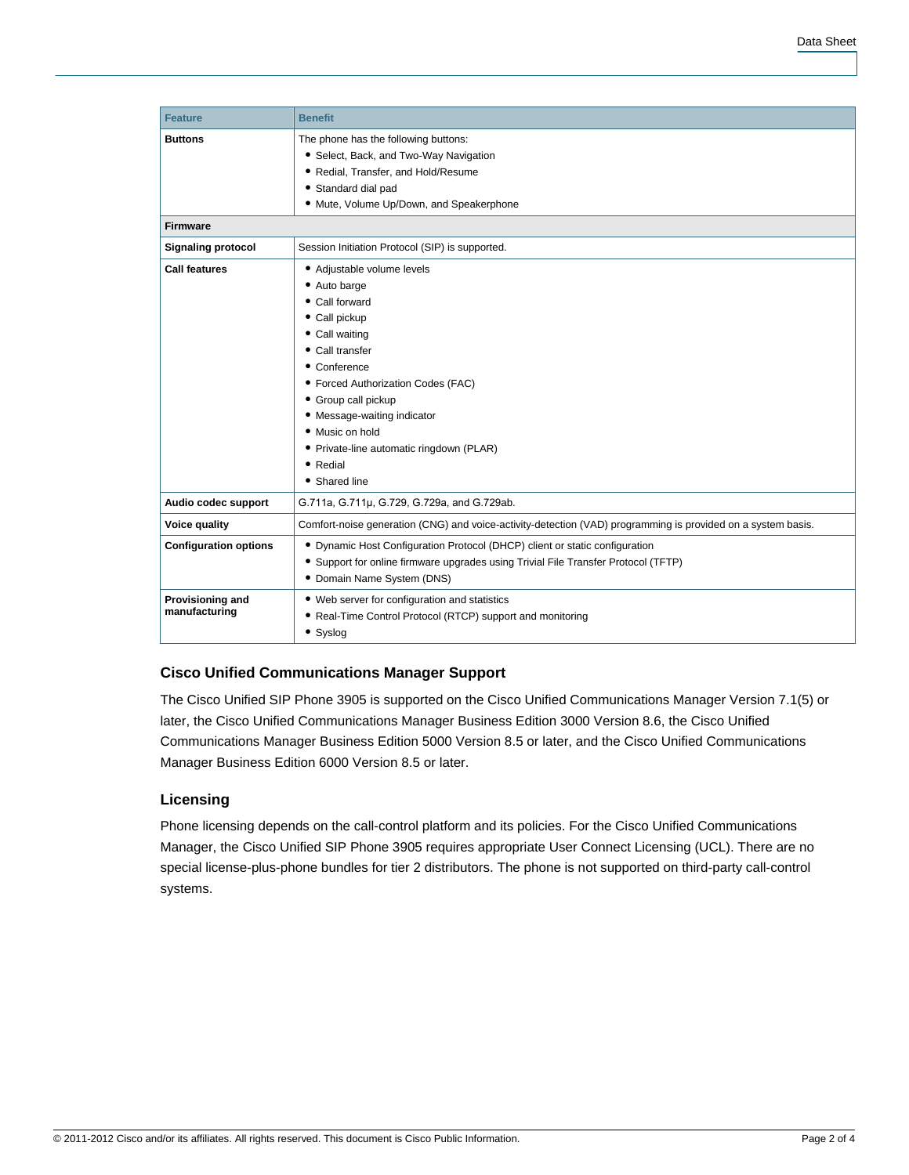| <b>Feature</b>                    | <b>Benefit</b>                                                                                                                                                                                                                                                                                                             |  |
|-----------------------------------|----------------------------------------------------------------------------------------------------------------------------------------------------------------------------------------------------------------------------------------------------------------------------------------------------------------------------|--|
| <b>Buttons</b>                    | The phone has the following buttons:<br>• Select, Back, and Two-Way Navigation<br>• Redial, Transfer, and Hold/Resume<br>• Standard dial pad<br>· Mute, Volume Up/Down, and Speakerphone                                                                                                                                   |  |
| <b>Firmware</b>                   |                                                                                                                                                                                                                                                                                                                            |  |
| <b>Signaling protocol</b>         | Session Initiation Protocol (SIP) is supported.                                                                                                                                                                                                                                                                            |  |
| <b>Call features</b>              | • Adjustable volume levels<br>• Auto barge<br>• Call forward<br>• Call pickup<br>• Call waiting<br>• Call transfer<br>• Conference<br>• Forced Authorization Codes (FAC)<br>• Group call pickup<br>• Message-waiting indicator<br>• Music on hold<br>• Private-line automatic ringdown (PLAR)<br>• Redial<br>• Shared line |  |
| Audio codec support               | G.711a, G.711µ, G.729, G.729a, and G.729ab.                                                                                                                                                                                                                                                                                |  |
| Voice quality                     | Comfort-noise generation (CNG) and voice-activity-detection (VAD) programming is provided on a system basis.                                                                                                                                                                                                               |  |
| <b>Configuration options</b>      | • Dynamic Host Configuration Protocol (DHCP) client or static configuration<br>• Support for online firmware upgrades using Trivial File Transfer Protocol (TFTP)<br>• Domain Name System (DNS)                                                                                                                            |  |
| Provisioning and<br>manufacturing | • Web server for configuration and statistics<br>• Real-Time Control Protocol (RTCP) support and monitoring<br>• Syslog                                                                                                                                                                                                    |  |

# **Cisco Unified Communications Manager Support**

The Cisco Unified SIP Phone 3905 is supported on the Cisco Unified Communications Manager Version 7.1(5) or later, the Cisco Unified Communications Manager Business Edition 3000 Version 8.6, the Cisco Unified Communications Manager Business Edition 5000 Version 8.5 or later, and the Cisco Unified Communications Manager Business Edition 6000 Version 8.5 or later.

# **Licensing**

Phone licensing depends on the call-control platform and its policies. For the Cisco Unified Communications Manager, the Cisco Unified SIP Phone 3905 requires appropriate User Connect Licensing (UCL). There are no special license-plus-phone bundles for tier 2 distributors. The phone is not supported on third-party call-control systems.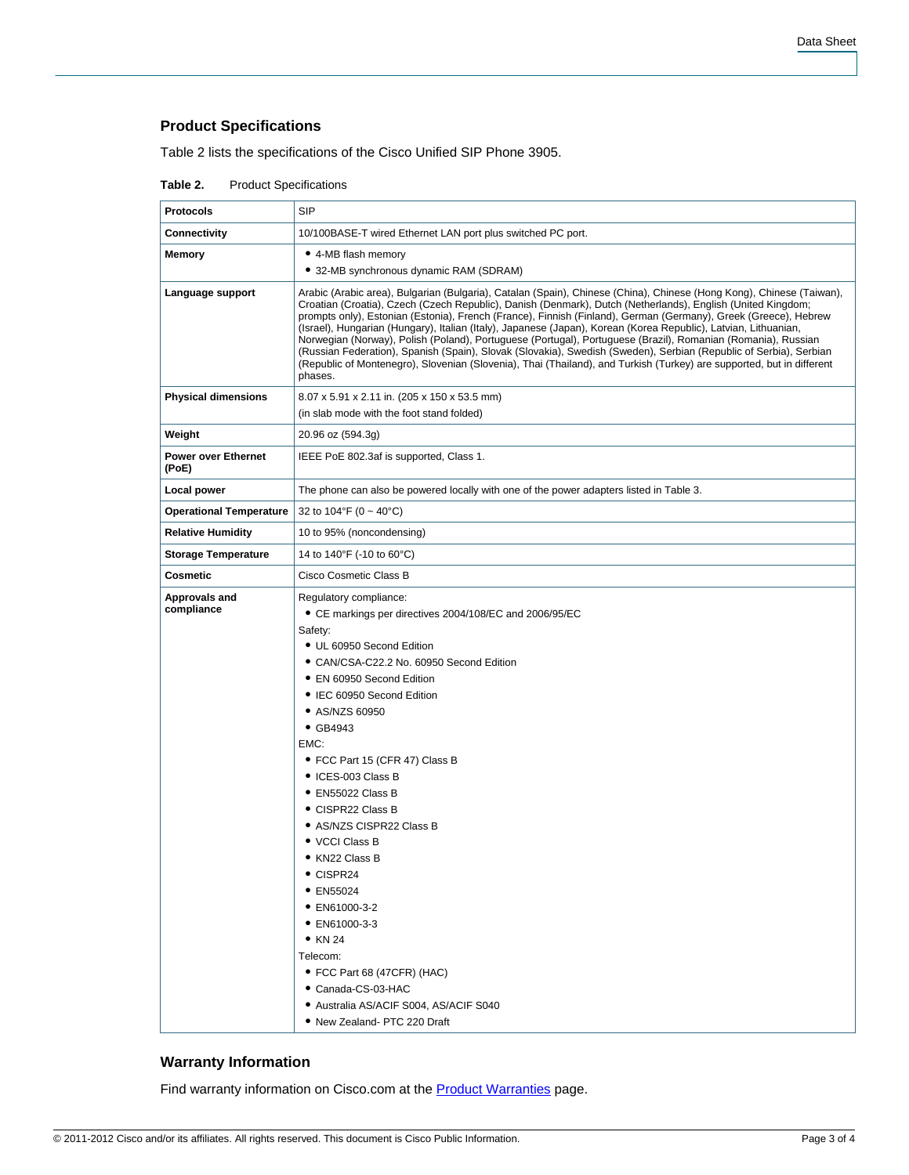# **Product Specifications**

Table 2 lists the specifications of the Cisco Unified SIP Phone 3905.

| Table 2. | <b>Product Specifications</b> |
|----------|-------------------------------|
|----------|-------------------------------|

| <b>Protocols</b>                    | <b>SIP</b>                                                                                                                                                                                                                                                                                                                                                                                                                                                                                                                                                                                                                                                                                                                                                                                                                                         |
|-------------------------------------|----------------------------------------------------------------------------------------------------------------------------------------------------------------------------------------------------------------------------------------------------------------------------------------------------------------------------------------------------------------------------------------------------------------------------------------------------------------------------------------------------------------------------------------------------------------------------------------------------------------------------------------------------------------------------------------------------------------------------------------------------------------------------------------------------------------------------------------------------|
| <b>Connectivity</b>                 | 10/100BASE-T wired Ethernet LAN port plus switched PC port.                                                                                                                                                                                                                                                                                                                                                                                                                                                                                                                                                                                                                                                                                                                                                                                        |
| <b>Memory</b>                       | • 4-MB flash memory<br>• 32-MB synchronous dynamic RAM (SDRAM)                                                                                                                                                                                                                                                                                                                                                                                                                                                                                                                                                                                                                                                                                                                                                                                     |
| Language support                    | Arabic (Arabic area), Bulgarian (Bulgaria), Catalan (Spain), Chinese (China), Chinese (Hong Kong), Chinese (Taiwan),<br>Croatian (Croatia), Czech (Czech Republic), Danish (Denmark), Dutch (Netherlands), English (United Kingdom;<br>prompts only), Estonian (Estonia), French (France), Finnish (Finland), German (Germany), Greek (Greece), Hebrew<br>(Israel), Hungarian (Hungary), Italian (Italy), Japanese (Japan), Korean (Korea Republic), Latvian, Lithuanian,<br>Norwegian (Norway), Polish (Poland), Portuguese (Portugal), Portuguese (Brazil), Romanian (Romania), Russian<br>(Russian Federation), Spanish (Spain), Slovak (Slovakia), Swedish (Sweden), Serbian (Republic of Serbia), Serbian<br>(Republic of Montenegro), Slovenian (Slovenia), Thai (Thailand), and Turkish (Turkey) are supported, but in different<br>phases. |
| <b>Physical dimensions</b>          | 8.07 x 5.91 x 2.11 in. (205 x 150 x 53.5 mm)<br>(in slab mode with the foot stand folded)                                                                                                                                                                                                                                                                                                                                                                                                                                                                                                                                                                                                                                                                                                                                                          |
| Weight                              | 20.96 oz (594.3g)                                                                                                                                                                                                                                                                                                                                                                                                                                                                                                                                                                                                                                                                                                                                                                                                                                  |
| <b>Power over Ethernet</b><br>(PoE) | IEEE PoE 802.3af is supported, Class 1.                                                                                                                                                                                                                                                                                                                                                                                                                                                                                                                                                                                                                                                                                                                                                                                                            |
| Local power                         | The phone can also be powered locally with one of the power adapters listed in Table 3.                                                                                                                                                                                                                                                                                                                                                                                                                                                                                                                                                                                                                                                                                                                                                            |
| <b>Operational Temperature</b>      | 32 to 104°F (0 ~ 40°C)                                                                                                                                                                                                                                                                                                                                                                                                                                                                                                                                                                                                                                                                                                                                                                                                                             |
| <b>Relative Humidity</b>            | 10 to 95% (noncondensing)                                                                                                                                                                                                                                                                                                                                                                                                                                                                                                                                                                                                                                                                                                                                                                                                                          |
| <b>Storage Temperature</b>          | 14 to 140°F (-10 to 60°C)                                                                                                                                                                                                                                                                                                                                                                                                                                                                                                                                                                                                                                                                                                                                                                                                                          |
| Cosmetic                            | Cisco Cosmetic Class B                                                                                                                                                                                                                                                                                                                                                                                                                                                                                                                                                                                                                                                                                                                                                                                                                             |
| Approvals and<br>compliance         | Regulatory compliance:<br>• CE markings per directives 2004/108/EC and 2006/95/EC<br>Safety:<br>• UL 60950 Second Edition<br>• CAN/CSA-C22.2 No. 60950 Second Edition<br>• EN 60950 Second Edition<br>• IEC 60950 Second Edition<br>• AS/NZS 60950<br>$\bullet$ GB4943<br>EMC:<br>• FCC Part 15 (CFR 47) Class B<br>• ICES-003 Class B<br>• EN55022 Class B<br>• CISPR22 Class B<br>• AS/NZS CISPR22 Class B<br>• VCCI Class B<br>• KN22 Class B<br>• CISPR24<br>• EN55024<br>• EN61000-3-2<br>• EN61000-3-3<br>$\bullet$ KN 24<br>Telecom:<br>• FCC Part 68 (47CFR) (HAC)<br>• Canada-CS-03-HAC<br>• Australia AS/ACIF S004, AS/ACIF S040<br>• New Zealand- PTC 220 Draft                                                                                                                                                                         |

# **Warranty Information**

Find warranty information on Cisco.com at the **Product Warranties** page.